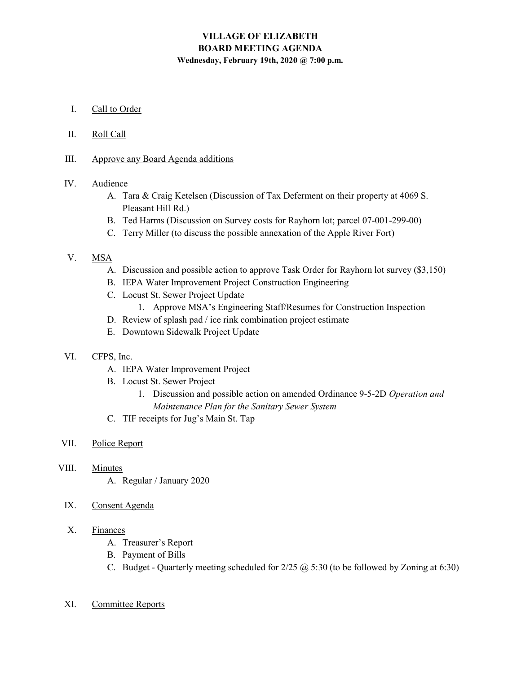# VILLAGE OF ELIZABETH BOARD MEETING AGENDA Wednesday, February 19th, 2020 @ 7:00 p.m.

- I. Call to Order
- II. Roll Call
- III. Approve any Board Agenda additions

## IV. Audience

- A. Tara & Craig Ketelsen (Discussion of Tax Deferment on their property at 4069 S. Pleasant Hill Rd.)
- B. Ted Harms (Discussion on Survey costs for Rayhorn lot; parcel 07-001-299-00)
- C. Terry Miller (to discuss the possible annexation of the Apple River Fort)

## V. MSA

- A. Discussion and possible action to approve Task Order for Rayhorn lot survey (\$3,150)
- B. IEPA Water Improvement Project Construction Engineering
- C. Locust St. Sewer Project Update
	- 1. Approve MSA's Engineering Staff/Resumes for Construction Inspection
- D. Review of splash pad / ice rink combination project estimate
- E. Downtown Sidewalk Project Update

### VI. CFPS, Inc.

- A. IEPA Water Improvement Project
- B. Locust St. Sewer Project
	- 1. Discussion and possible action on amended Ordinance 9-5-2D Operation and Maintenance Plan for the Sanitary Sewer System
- C. TIF receipts for Jug's Main St. Tap

#### VII. Police Report

- VIII. Minutes
	- A. Regular / January 2020
	- IX. Consent Agenda

### X. Finances

- A. Treasurer's Report
- B. Payment of Bills
- C. Budget Quarterly meeting scheduled for  $2/25$   $\omega$  5:30 (to be followed by Zoning at 6:30)
- XI. Committee Reports